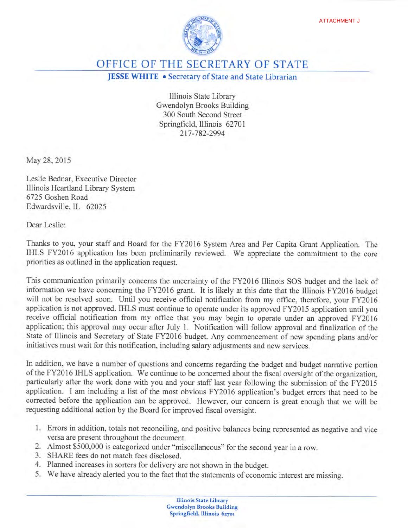

OFFICE OF THE SECRETARY OF STATE

**JESSE WHITE** • Secretary of State and State Librarian

Illinois State Library Gwendolyn Brooks Building 300 South Second Street Springfield, Illinois 62701 217-782-2994

May 28, 2015

Leslie Bednar, Executive Director Illinois Heartland Library System 6725 Goshen Road Edwardsville, IL 62025

Dear Leslie:

Thanks to you, your staff and Board for the FY2016 System Area and Per Capita Grant Application. The IHLS FY2016 application has been preliminarily reviewed. We appreciate the commitment to the core priorities as outlined in the application request.

This communication primarily concerns the uncertainty of the FY2016 Illinois SOS budget and the lack of information we have concerning the FY2016 grant. It is likely at this date that the Illinois FY2016 budget will not be resolved soon. Until you receive official notification from my office, therefore, your FY2016 application is not approved. IHLS must continue to operate under its approved FY2015 application until you receive official notification from my office that you may begin to operate under an approved FY2016 application; this approval may occur after July 1. Notification will follow approval and finalization of the State of Illinois and Secretary of State FY2016 budget. Any commencement of new spending plans and/or initiatives must wait for this notification, including salary adjustments and new services.

In addition, we have a number of questions and concerns regarding the budget and budget narrative portion of the FY2016 IHLS application. We continue to be concerned about the fiscal oversight of the organization, particularly after the work done with you and your staff last year following the submission of the FY2015 application. I am including a list of the most obvious FY2016 application's budget errors that need to be corrected before the application can be approved. However, our concern is great enough that we will be requesting additional action by the Board for improved fiscal oversight.

- 1. Errors in addition, totals not reconciling, and positive balances being represented as negative and vice versa are present throughout the document.
- 2. Almost \$500,000 is categorized under "miscellaneous" for the second year in a row.
- 3. SHARE fees do not match fees disclosed.
- 4. Planned increases in sorters for delivery are not shown in the budget.
- 5. We have already alerted you to the fact that the statements of economic interest are missing.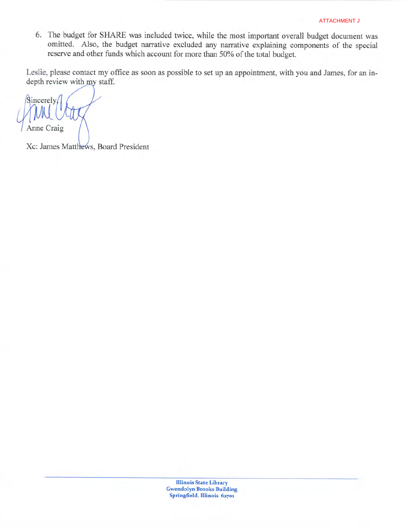6. The budget for SHARE was included twice, while the most important overall budget document was omitted. Also, the budget narrative excluded any narrative explaining components of the special reserve and other funds which account for more than 50% of the total budget.

Leslie, please contact my office as soon as possible to set up an appointment, with you and James, for an indepth review with my staff.

 $\sin$ <sub>c</sub>erely Anne Craig

Xc: James Matthews, Board President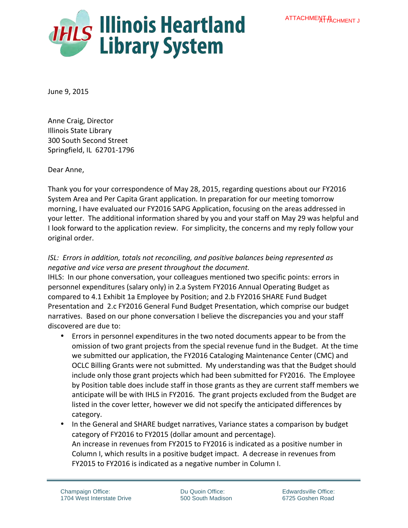

June 9, 2015

Anne Craig, Director **Illinois State Library** 300 South Second Street Springfield, IL 62701-1796

Dear Anne.

Thank you for your correspondence of May 28, 2015, regarding questions about our FY2016 System Area and Per Capita Grant application. In preparation for our meeting tomorrow morning, I have evaluated our FY2016 SAPG Application, focusing on the areas addressed in your letter. The additional information shared by you and your staff on May 29 was helpful and I look forward to the application review. For simplicity, the concerns and my reply follow your original order.

## *ISL: Errors in addition, totals not reconciling, and positive balances being represented as negative and vice versa are present throughout the document.*

IHLS: In our phone conversation, your colleagues mentioned two specific points: errors in personnel expenditures (salary only) in 2.a System FY2016 Annual Operating Budget as compared to 4.1 Exhibit 1a Employee by Position; and 2.b FY2016 SHARE Fund Budget Presentation and 2.c FY2016 General Fund Budget Presentation, which comprise our budget narratives. Based on our phone conversation I believe the discrepancies you and your staff discovered are due to:

- Errors in personnel expenditures in the two noted documents appear to be from the omission of two grant projects from the special revenue fund in the Budget. At the time we submitted our application, the FY2016 Cataloging Maintenance Center (CMC) and OCLC Billing Grants were not submitted. My understanding was that the Budget should include only those grant projects which had been submitted for FY2016. The Employee by Position table does include staff in those grants as they are current staff members we anticipate will be with IHLS in FY2016. The grant projects excluded from the Budget are listed in the cover letter, however we did not specify the anticipated differences by category.
- In the General and SHARE budget narratives, Variance states a comparison by budget category of FY2016 to FY2015 (dollar amount and percentage). An increase in revenues from FY2015 to FY2016 is indicated as a positive number in Column I, which results in a positive budget impact. A decrease in revenues from FY2015 to FY2016 is indicated as a negative number in Column I.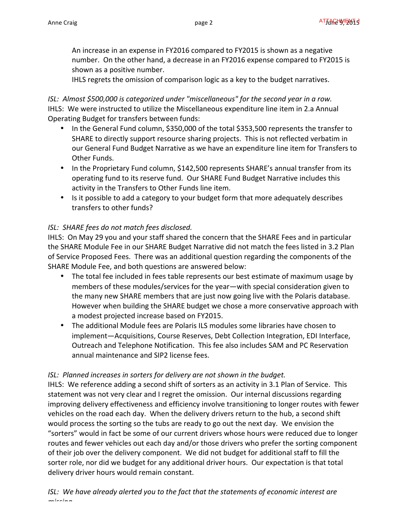An increase in an expense in FY2016 compared to FY2015 is shown as a negative number. On the other hand, a decrease in an FY2016 expense compared to FY2015 is shown as a positive number.

IHLS regrets the omission of comparison logic as a key to the budget narratives.

## *ISL: Almost \$500,000 is categorized under "miscellaneous" for the second year in a row.* IHLS: We were instructed to utilize the Miscellaneous expenditure line item in 2.a Annual Operating Budget for transfers between funds:

- In the General Fund column, \$350,000 of the total \$353,500 represents the transfer to SHARE to directly support resource sharing projects. This is not reflected verbatim in our General Fund Budget Narrative as we have an expenditure line item for Transfers to Other Funds.
- In the Proprietary Fund column, \$142,500 represents SHARE's annual transfer from its operating fund to its reserve fund. Our SHARE Fund Budget Narrative includes this activity in the Transfers to Other Funds line item.
- Is it possible to add a category to your budget form that more adequately describes transfers to other funds?

## **ISL:** SHARE fees do not match fees disclosed.

IHLS: On May 29 you and your staff shared the concern that the SHARE Fees and in particular the SHARE Module Fee in our SHARE Budget Narrative did not match the fees listed in 3.2 Plan of Service Proposed Fees. There was an additional question regarding the components of the SHARE Module Fee, and both questions are answered below:

- The total fee included in fees table represents our best estimate of maximum usage by members of these modules/services for the year—with special consideration given to the many new SHARE members that are just now going live with the Polaris database. However when building the SHARE budget we chose a more conservative approach with a modest projected increase based on FY2015.
- The additional Module fees are Polaris ILS modules some libraries have chosen to implement-Acquisitions, Course Reserves, Debt Collection Integration, EDI Interface, Outreach and Telephone Notification. This fee also includes SAM and PC Reservation annual maintenance and SIP2 license fees.

## **ISL:** Planned increases in sorters for delivery are not shown in the budget.

IHLS: We reference adding a second shift of sorters as an activity in 3.1 Plan of Service. This statement was not very clear and I regret the omission. Our internal discussions regarding improving delivery effectiveness and efficiency involve transitioning to longer routes with fewer vehicles on the road each day. When the delivery drivers return to the hub, a second shift would process the sorting so the tubs are ready to go out the next day. We envision the "sorters" would in fact be some of our current drivers whose hours were reduced due to longer routes and fewer vehicles out each day and/or those drivers who prefer the sorting component of their job over the delivery component. We did not budget for additional staff to fill the sorter role, nor did we budget for any additional driver hours. Our expectation is that total delivery driver hours would remain constant.

*ISL:* We have already alerted you to the fact that the statements of economic interest are *missing.*